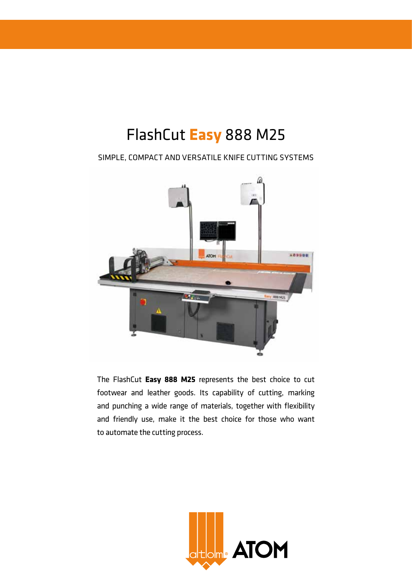# FlashCut **Easy** 888 M25

Simple, compact and versatile knife cutting systems



The FlashCut **Easy 888 M25** represents the best choice to cut footwear and leather goods. Its capability of cutting, marking and punching a wide range of materials, together with flexibility and friendly use, make it the best choice for those who want to automate the cutting process.